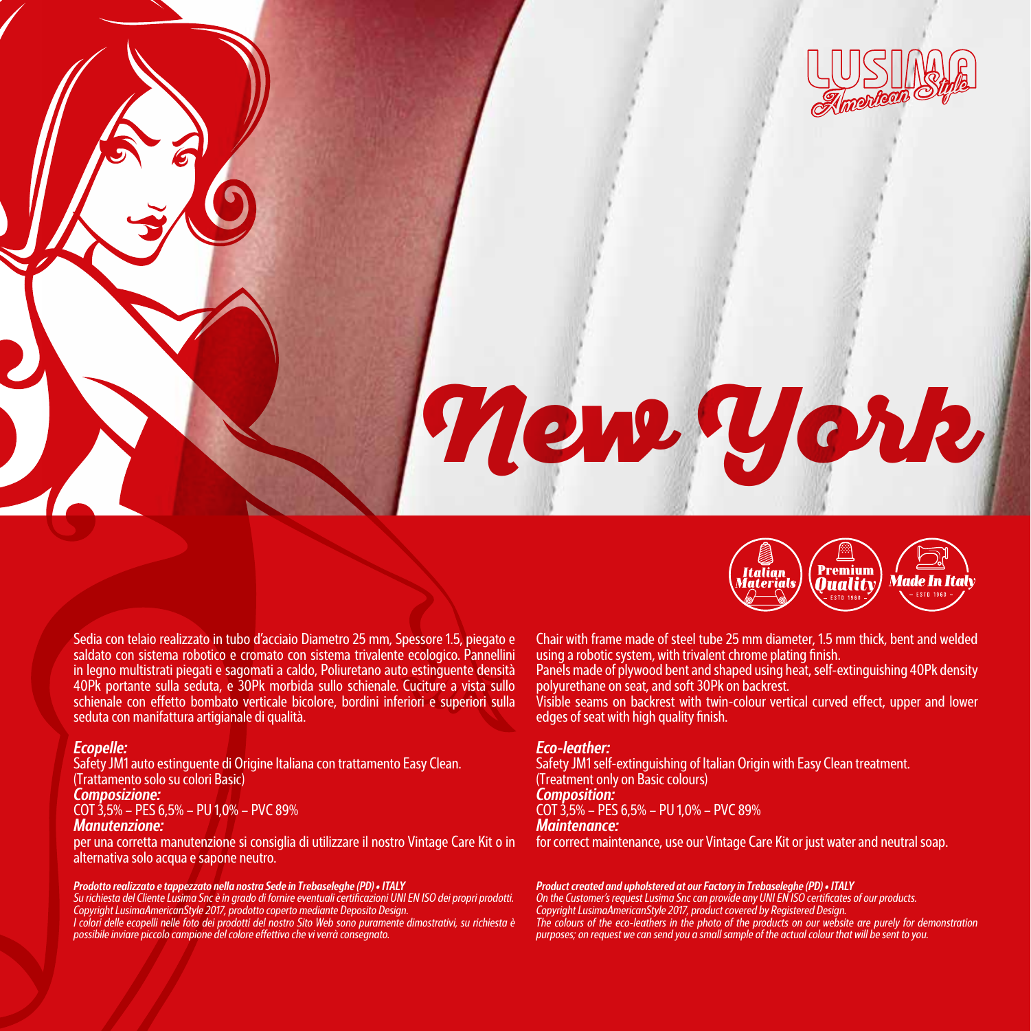

# New York



Sedia con telaio realizzato in tubo d'acciaio Diametro 25 mm, Spessore 1.5, piegato e saldato con sistema robotico e cromato con sistema trivalente ecologico. Pannellini in legno multistrati piegati e sagomati a caldo, Poliuretano auto estinguente densità 40Pk portante sulla seduta, e 30Pk morbida sullo schienale. Cuciture a vista sullo schienale con effetto bombato verticale bicolore, bordini inferiori e superiori sulla seduta con manifattura artigianale di qualità.

# *Ecopelle:*

Safety JM1 auto estinguente di Origine Italiana con trattamento Easy Clean. (Trattamento solo su colori Basic) *Composizione:*  COT 3,5% – PES 6,5% – PU 1,0% – PVC 89% *Manutenzione:* 

per una corretta manutenzione si consiglia di utilizzare il nostro Vintage Care Kit o in alternativa solo acqua e sapone neutro.

**Prodotto realizzato e tappezzato nella nostra Sede in Trebaseleghe (PD) • ITALY**<br>Su richiesta del Cliente Lusima Snc è in grado di fornire eventuali certificazioni UNI EN ISO dei propri prodotti.<br>Copyright LusimaAmericanS

*I colori delle ecopelli nelle foto dei prodotti del nostro Sito Web sono puramente dimostrativi, su richiesta è possibile inviare piccolo campione del colore effettivo che vi verrà consegnato.*

Chair with frame made of steel tube 25 mm diameter, 1.5 mm thick, bent and welded using a robotic system, with trivalent chrome plating finish.

Panels made of plywood bent and shaped using heat, self-extinguishing 40Pk density polyurethane on seat, and soft 30Pk on backrest.

Visible seams on backrest with twin-colour vertical curved effect, upper and lower edges of seat with high quality finish.

## *Eco-leather:*

Safety JM1 self-extinguishing of Italian Origin with Easy Clean treatment. (Treatment only on Basic colours) *Composition:*  COT 3,5% – PES 6,5% – PU 1,0% – PVC 89% *Maintenance:* 

for correct maintenance, use our Vintage Care Kit or just water and neutral soap.

**Product created and upholstered at our Factory in Trebaseleghe (PD) • ITALY**<br>On the Customer's request Lusima Snc can provide any UNI EN ISO certificates of our products.<br>Copyright LusimaAmericanStyle 2017, product covere *The colours of the eco-leathers in the photo of the products on our website are purely for demonstration purposes; on request we can send you a small sample of the actual colour that will be sent to you.*